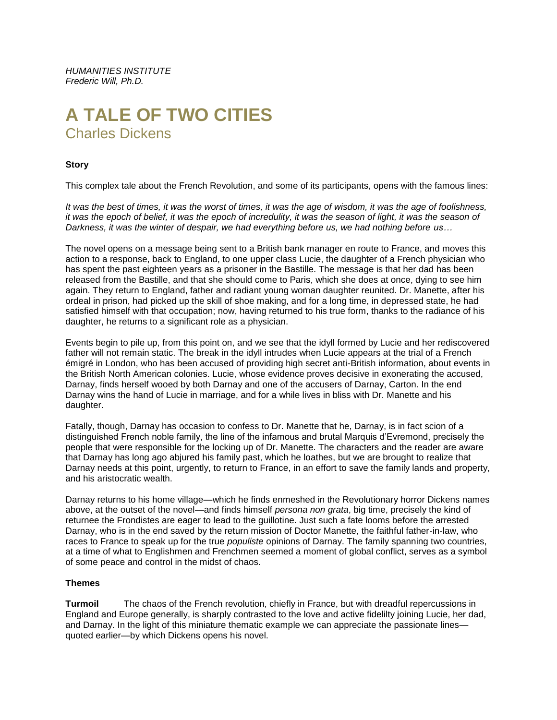*HUMANITIES INSTITUTE Frederic Will, Ph.D.*

## **A TALE OF TWO CITIES** Charles Dickens

## **Story**

This complex tale about the French Revolution, and some of its participants, opens with the famous lines:

*It was the best of times, it was the worst of times, it was the age of wisdom, it was the age of foolishness, it was the epoch of belief, it was the epoch of incredulity, it was the season of light, it was the season of Darkness, it was the winter of despair, we had everything before us, we had nothing before us…*

The novel opens on a message being sent to a British bank manager en route to France, and moves this action to a response, back to England, to one upper class Lucie, the daughter of a French physician who has spent the past eighteen years as a prisoner in the Bastille. The message is that her dad has been released from the Bastille, and that she should come to Paris, which she does at once, dying to see him again. They return to England, father and radiant young woman daughter reunited. Dr. Manette, after his ordeal in prison, had picked up the skill of shoe making, and for a long time, in depressed state, he had satisfied himself with that occupation; now, having returned to his true form, thanks to the radiance of his daughter, he returns to a significant role as a physician.

Events begin to pile up, from this point on, and we see that the idyll formed by Lucie and her rediscovered father will not remain static. The break in the idyll intrudes when Lucie appears at the trial of a French émigré in London, who has been accused of providing high secret anti-British information, about events in the British North American colonies. Lucie, whose evidence proves decisive in exonerating the accused, Darnay, finds herself wooed by both Darnay and one of the accusers of Darnay, Carton. In the end Darnay wins the hand of Lucie in marriage, and for a while lives in bliss with Dr. Manette and his daughter.

Fatally, though, Darnay has occasion to confess to Dr. Manette that he, Darnay, is in fact scion of a distinguished French noble family, the line of the infamous and brutal Marquis d'Evremond, precisely the people that were responsible for the locking up of Dr. Manette. The characters and the reader are aware that Darnay has long ago abjured his family past, which he loathes, but we are brought to realize that Darnay needs at this point, urgently, to return to France, in an effort to save the family lands and property, and his aristocratic wealth.

Darnay returns to his home village—which he finds enmeshed in the Revolutionary horror Dickens names above, at the outset of the novel—and finds himself *persona non grata*, big time, precisely the kind of returnee the Frondistes are eager to lead to the guillotine. Just such a fate looms before the arrested Darnay, who is in the end saved by the return mission of Doctor Manette, the faithful father-in-law, who races to France to speak up for the true *populiste* opinions of Darnay. The family spanning two countries, at a time of what to Englishmen and Frenchmen seemed a moment of global conflict, serves as a symbol of some peace and control in the midst of chaos.

## **Themes**

**Turmoil** The chaos of the French revolution, chiefly in France, but with dreadful repercussions in England and Europe generally, is sharply contrasted to the love and active fidelilty joining Lucie, her dad, and Darnay. In the light of this miniature thematic example we can appreciate the passionate lines quoted earlier—by which Dickens opens his novel.